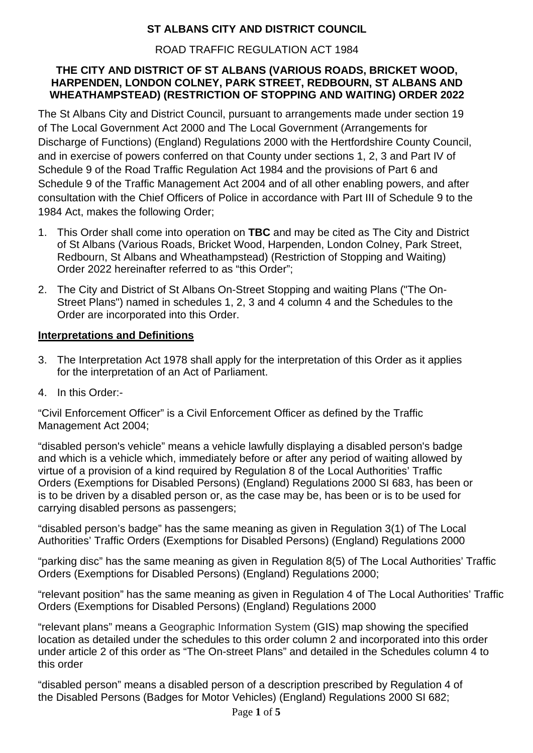# **ST ALBANS CITY AND DISTRICT COUNCIL**

## ROAD TRAFFIC REGULATION ACT 1984

### **THE CITY AND DISTRICT OF ST ALBANS (VARIOUS ROADS, BRICKET WOOD, HARPENDEN, LONDON COLNEY, PARK STREET, REDBOURN, ST ALBANS AND WHEATHAMPSTEAD) (RESTRICTION OF STOPPING AND WAITING) ORDER 2022**

The St Albans City and District Council, pursuant to arrangements made under section 19 of The Local Government Act 2000 and The Local Government (Arrangements for Discharge of Functions) (England) Regulations 2000 with the Hertfordshire County Council, and in exercise of powers conferred on that County under sections 1, 2, 3 and Part IV of Schedule 9 of the Road Traffic Regulation Act 1984 and the provisions of Part 6 and Schedule 9 of the Traffic Management Act 2004 and of all other enabling powers, and after consultation with the Chief Officers of Police in accordance with Part III of Schedule 9 to the 1984 Act, makes the following Order;

- 1. This Order shall come into operation on **TBC** and may be cited as The City and District of St Albans (Various Roads, Bricket Wood, Harpenden, London Colney, Park Street, Redbourn, St Albans and Wheathampstead) (Restriction of Stopping and Waiting) Order 2022 hereinafter referred to as "this Order";
- 2. The City and District of St Albans On-Street Stopping and waiting Plans ("The On-Street Plans") named in schedules 1, 2, 3 and 4 column 4 and the Schedules to the Order are incorporated into this Order.

### **Interpretations and Definitions**

- 3. The Interpretation Act 1978 shall apply for the interpretation of this Order as it applies for the interpretation of an Act of Parliament.
- 4. In this Order:-

"Civil Enforcement Officer" is a Civil Enforcement Officer as defined by the Traffic Management Act 2004;

"disabled person's vehicle" means a vehicle lawfully displaying a disabled person's badge and which is a vehicle which, immediately before or after any period of waiting allowed by virtue of a provision of a kind required by Regulation 8 of the Local Authorities' Traffic Orders (Exemptions for Disabled Persons) (England) Regulations 2000 SI 683, has been or is to be driven by a disabled person or, as the case may be, has been or is to be used for carrying disabled persons as passengers;

"disabled person's badge" has the same meaning as given in Regulation 3(1) of The Local Authorities' Traffic Orders (Exemptions for Disabled Persons) (England) Regulations 2000

"parking disc" has the same meaning as given in Regulation 8(5) of The Local Authorities' Traffic Orders (Exemptions for Disabled Persons) (England) Regulations 2000;

"relevant position" has the same meaning as given in Regulation 4 of The Local Authorities' Traffic Orders (Exemptions for Disabled Persons) (England) Regulations 2000

"relevant plans" means a Geographic Information System (GIS) map showing the specified location as detailed under the schedules to this order column 2 and incorporated into this order under article 2 of this order as "The On-street Plans" and detailed in the Schedules column 4 to this order

"disabled person" means a disabled person of a description prescribed by Regulation 4 of the Disabled Persons (Badges for Motor Vehicles) (England) Regulations 2000 SI 682;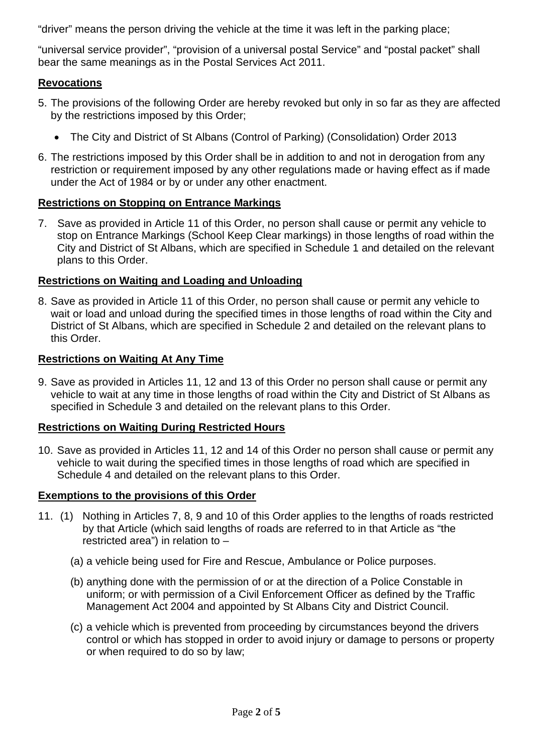"driver" means the person driving the vehicle at the time it was left in the parking place;

"universal service provider", "provision of a universal postal Service" and "postal packet" shall bear the same meanings as in the Postal Services Act 2011.

### **Revocations**

- 5. The provisions of the following Order are hereby revoked but only in so far as they are affected by the restrictions imposed by this Order;
	- The City and District of St Albans (Control of Parking) (Consolidation) Order 2013
- 6. The restrictions imposed by this Order shall be in addition to and not in derogation from any restriction or requirement imposed by any other regulations made or having effect as if made under the Act of 1984 or by or under any other enactment.

### **Restrictions on Stopping on Entrance Markings**

7. Save as provided in Article 11 of this Order, no person shall cause or permit any vehicle to stop on Entrance Markings (School Keep Clear markings) in those lengths of road within the City and District of St Albans, which are specified in Schedule 1 and detailed on the relevant plans to this Order.

### **Restrictions on Waiting and Loading and Unloading**

8. Save as provided in Article 11 of this Order, no person shall cause or permit any vehicle to wait or load and unload during the specified times in those lengths of road within the City and District of St Albans, which are specified in Schedule 2 and detailed on the relevant plans to this Order.

#### **Restrictions on Waiting At Any Time**

9. Save as provided in Articles 11, 12 and 13 of this Order no person shall cause or permit any vehicle to wait at any time in those lengths of road within the City and District of St Albans as specified in Schedule 3 and detailed on the relevant plans to this Order.

#### **Restrictions on Waiting During Restricted Hours**

10. Save as provided in Articles 11, 12 and 14 of this Order no person shall cause or permit any vehicle to wait during the specified times in those lengths of road which are specified in Schedule 4 and detailed on the relevant plans to this Order.

#### **Exemptions to the provisions of this Order**

- 11. (1) Nothing in Articles 7, 8, 9 and 10 of this Order applies to the lengths of roads restricted by that Article (which said lengths of roads are referred to in that Article as "the restricted area") in relation to –
	- (a) a vehicle being used for Fire and Rescue, Ambulance or Police purposes.
	- (b) anything done with the permission of or at the direction of a Police Constable in uniform; or with permission of a Civil Enforcement Officer as defined by the Traffic Management Act 2004 and appointed by St Albans City and District Council.
	- (c) a vehicle which is prevented from proceeding by circumstances beyond the drivers control or which has stopped in order to avoid injury or damage to persons or property or when required to do so by law;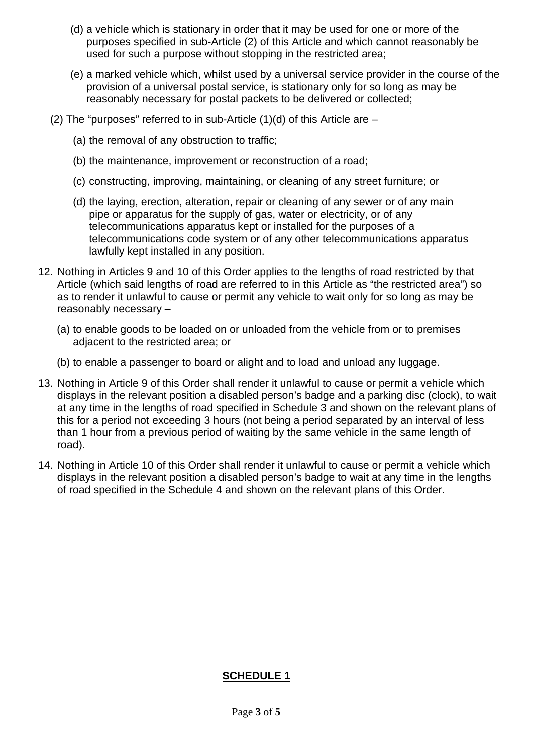- (d) a vehicle which is stationary in order that it may be used for one or more of the purposes specified in sub-Article (2) of this Article and which cannot reasonably be used for such a purpose without stopping in the restricted area;
- (e) a marked vehicle which, whilst used by a universal service provider in the course of the provision of a universal postal service, is stationary only for so long as may be reasonably necessary for postal packets to be delivered or collected;
- (2) The "purposes" referred to in sub-Article  $(1)(d)$  of this Article are
	- (a) the removal of any obstruction to traffic;
	- (b) the maintenance, improvement or reconstruction of a road;
	- (c) constructing, improving, maintaining, or cleaning of any street furniture; or
	- (d) the laying, erection, alteration, repair or cleaning of any sewer or of any main pipe or apparatus for the supply of gas, water or electricity, or of any telecommunications apparatus kept or installed for the purposes of a telecommunications code system or of any other telecommunications apparatus lawfully kept installed in any position.
- 12. Nothing in Articles 9 and 10 of this Order applies to the lengths of road restricted by that Article (which said lengths of road are referred to in this Article as "the restricted area") so as to render it unlawful to cause or permit any vehicle to wait only for so long as may be reasonably necessary –
	- (a) to enable goods to be loaded on or unloaded from the vehicle from or to premises adjacent to the restricted area; or
	- (b) to enable a passenger to board or alight and to load and unload any luggage.
- 13. Nothing in Article 9 of this Order shall render it unlawful to cause or permit a vehicle which displays in the relevant position a disabled person's badge and a parking disc (clock), to wait at any time in the lengths of road specified in Schedule 3 and shown on the relevant plans of this for a period not exceeding 3 hours (not being a period separated by an interval of less than 1 hour from a previous period of waiting by the same vehicle in the same length of road).
- 14. Nothing in Article 10 of this Order shall render it unlawful to cause or permit a vehicle which displays in the relevant position a disabled person's badge to wait at any time in the lengths of road specified in the Schedule 4 and shown on the relevant plans of this Order.

#### **SCHEDULE 1**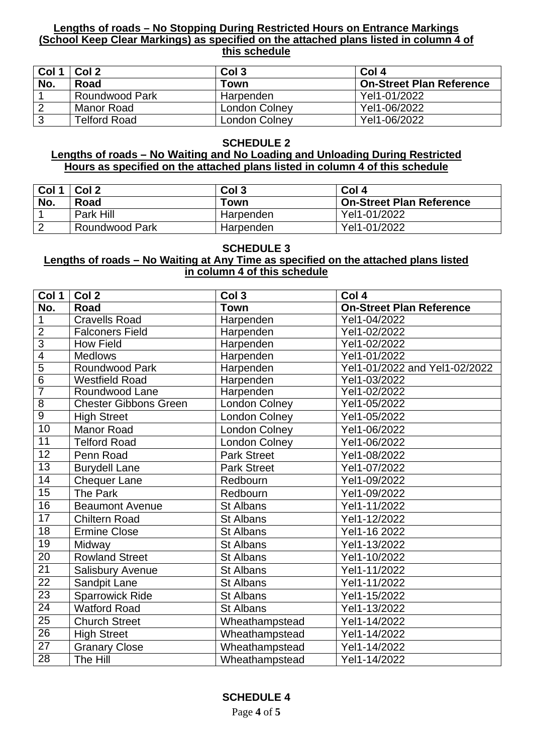#### **Lengths of roads – No Stopping During Restricted Hours on Entrance Markings (School Keep Clear Markings) as specified on the attached plans listed in column 4 of this schedule**

| Col 1          | Col 2                 | Col <sub>3</sub>     | Col 4                           |
|----------------|-----------------------|----------------------|---------------------------------|
| No.            | Road                  | Town                 | <b>On-Street Plan Reference</b> |
|                | <b>Roundwood Park</b> | Harpenden            | Yel1-01/2022                    |
| $\overline{2}$ | Manor Road            | London Colney        | Yel1-06/2022                    |
| 3              | <b>Telford Road</b>   | <b>London Colney</b> | Yel1-06/2022                    |

#### **SCHEDULE 2**

#### **Lengths of roads – No Waiting and No Loading and Unloading During Restricted Hours as specified on the attached plans listed in column 4 of this schedule**

| Col 1 | Col 2          | Col <sub>3</sub> | Col 4                           |
|-------|----------------|------------------|---------------------------------|
| No.   | Road           | Town             | <b>On-Street Plan Reference</b> |
|       | Park Hill      | Harpenden        | Yel1-01/2022                    |
| റ     | Roundwood Park | Harpenden        | Yel1-01/2022                    |

#### **SCHEDULE 3**

#### **Lengths of roads – No Waiting at Any Time as specified on the attached plans listed in column 4 of this schedule**

| Col 1           | Col <sub>2</sub>             | Col <sub>3</sub>   | Col 4                           |
|-----------------|------------------------------|--------------------|---------------------------------|
| No.             | Road                         | <b>Town</b>        | <b>On-Street Plan Reference</b> |
| $\mathbf{1}$    | <b>Cravells Road</b>         | Harpenden          | Yel1-04/2022                    |
| $\overline{2}$  | <b>Falconers Field</b>       | Harpenden          | Yel1-02/2022                    |
| $\overline{3}$  | <b>How Field</b>             | Harpenden          | Yel1-02/2022                    |
| $\overline{4}$  | <b>Medlows</b>               | Harpenden          | Yel1-01/2022                    |
| $\overline{5}$  | <b>Roundwood Park</b>        | Harpenden          | Yel1-01/2022 and Yel1-02/2022   |
| $\overline{6}$  | <b>Westfield Road</b>        | Harpenden          | Yel1-03/2022                    |
| $\overline{7}$  | Roundwood Lane               | Harpenden          | Yel1-02/2022                    |
| $\overline{8}$  | <b>Chester Gibbons Green</b> | London Colney      | Yel1-05/2022                    |
| $\overline{9}$  | <b>High Street</b>           | London Colney      | Yel1-05/2022                    |
| 10              | <b>Manor Road</b>            | London Colney      | Yel1-06/2022                    |
| 11              | <b>Telford Road</b>          | London Colney      | Yel1-06/2022                    |
| $\overline{12}$ | Penn Road                    | <b>Park Street</b> | Yel1-08/2022                    |
| 13              | <b>Burydell Lane</b>         | <b>Park Street</b> | Yel1-07/2022                    |
| 14              | <b>Chequer Lane</b>          | Redbourn           | Yel1-09/2022                    |
| $\overline{15}$ | The Park                     | Redbourn           | Yel1-09/2022                    |
| $\overline{16}$ | <b>Beaumont Avenue</b>       | <b>St Albans</b>   | Yel1-11/2022                    |
| 17              | <b>Chiltern Road</b>         | <b>St Albans</b>   | Yel1-12/2022                    |
| 18              | <b>Ermine Close</b>          | St Albans          | Yel1-16 2022                    |
| $\overline{19}$ | Midway                       | <b>St Albans</b>   | Yel1-13/2022                    |
| 20              | <b>Rowland Street</b>        | <b>St Albans</b>   | Yel1-10/2022                    |
| $\overline{21}$ | <b>Salisbury Avenue</b>      | <b>St Albans</b>   | Yel1-11/2022                    |
| $\overline{22}$ | Sandpit Lane                 | <b>St Albans</b>   | Yel1-11/2022                    |
| $\overline{23}$ | <b>Sparrowick Ride</b>       | <b>St Albans</b>   | Yel1-15/2022                    |
| 24              | <b>Watford Road</b>          | <b>St Albans</b>   | Yel1-13/2022                    |
| $\overline{25}$ | <b>Church Street</b>         | Wheathampstead     | Yel1-14/2022                    |
| $\overline{26}$ | <b>High Street</b>           | Wheathampstead     | Yel1-14/2022                    |
| $\overline{27}$ | <b>Granary Close</b>         | Wheathampstead     | Yel1-14/2022                    |
| 28              | The Hill                     | Wheathampstead     | Yel1-14/2022                    |